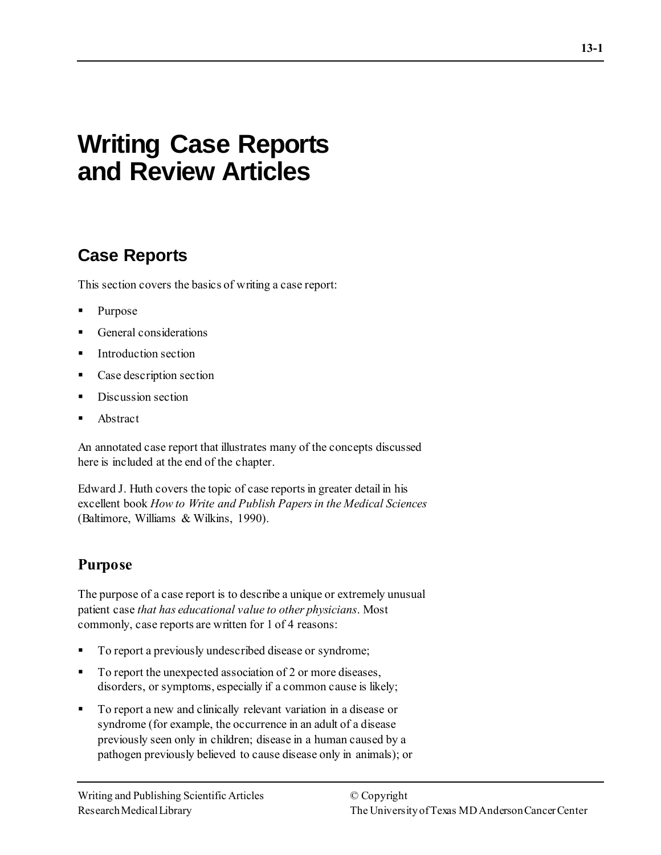# **Writing Case Reports and Review Articles**

# **Case Reports**

This section covers the basics of writing a case report:

- Purpose
- General considerations
- Introduction section
- Case description section
- Discussion section
- Abstract

An annotated case report that illustrates many of the concepts discussed here is included at the end of the chapter.

Edward J. Huth covers the topic of case reports in greater detail in his excellent book *How to Write and Publish Papers in the Medical Sciences* (Baltimore, Williams & Wilkins, 1990).

## **Purpose**

The purpose of a case report is to describe a unique or extremely unusual patient case *that has educational value to other physicians*. Most commonly, case reports are written for 1 of 4 reasons:

- To report a previously undescribed disease or syndrome;
- To report the unexpected association of 2 or more diseases, disorders, or symptoms, especially if a common cause is likely;
- To report a new and clinically relevant variation in a disease or syndrome (for example, the occurrence in an adult of a disease previously seen only in children; disease in a human caused by a pathogen previously believed to cause disease only in animals); or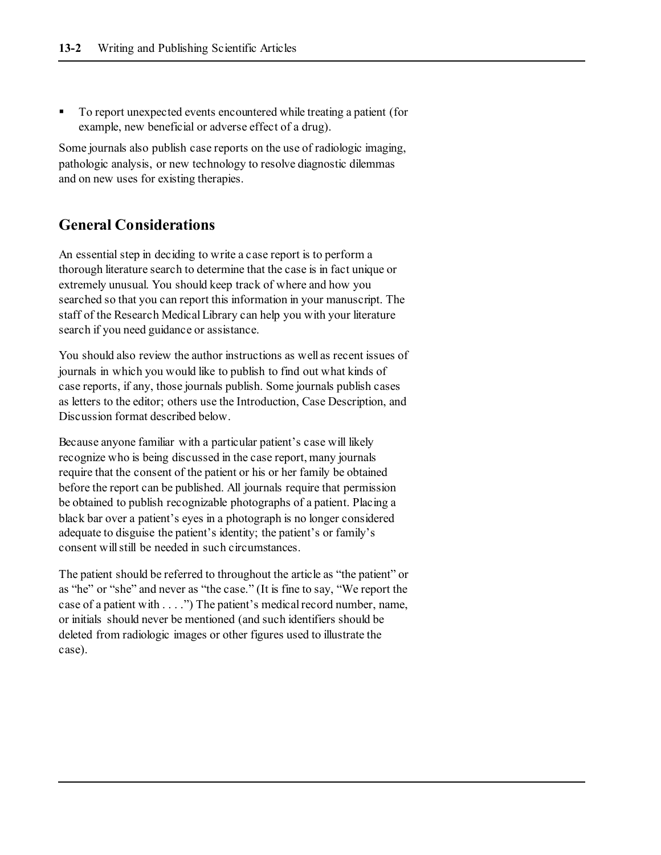To report unexpected events encountered while treating a patient (for example, new beneficial or adverse effect of a drug).

Some journals also publish case reports on the use of radiologic imaging, pathologic analysis, or new technology to resolve diagnostic dilemmas and on new uses for existing therapies.

### **General Considerations**

An essential step in deciding to write a case report is to perform a thorough literature search to determine that the case is in fact unique or extremely unusual. You should keep track of where and how you searched so that you can report this information in your manuscript. The staff of the Research Medical Library can help you with your literature search if you need guidance or assistance.

You should also review the author instructions as well as recent issues of journals in which you would like to publish to find out what kinds of case reports, if any, those journals publish. Some journals publish cases as letters to the editor; others use the Introduction, Case Description, and Discussion format described below.

Because anyone familiar with a particular patient's case will likely recognize who is being discussed in the case report, many journals require that the consent of the patient or his or her family be obtained before the report can be published. All journals require that permission be obtained to publish recognizable photographs of a patient. Placing a black bar over a patient's eyes in a photograph is no longer considered adequate to disguise the patient's identity; the patient's or family's consent will still be needed in such circumstances.

The patient should be referred to throughout the article as "the patient" or as "he" or "she" and never as "the case." (It is fine to say, "We report the case of a patient with . . . .") The patient's medical record number, name, or initials should never be mentioned (and such identifiers should be deleted from radiologic images or other figures used to illustrate the case).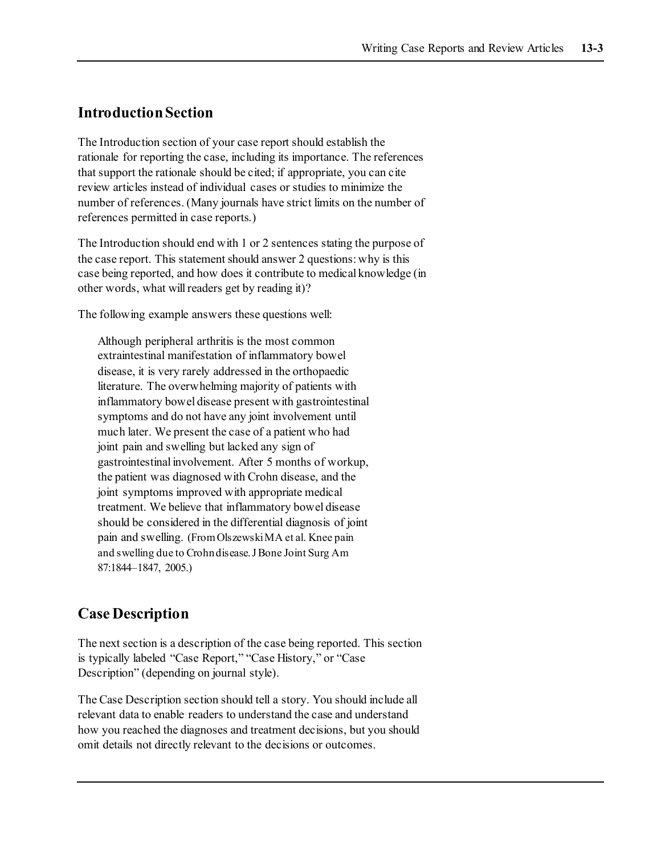## **Introduction Section**

The Introduction section of your case report should establish the rationale for reporting the case, including its importance. The references that support the rationale should be cited; if appropriate, you can cite review articles instead of individual cases or studies to minimize the number of references. (Many journals have strict limits on the number of references permitted in case reports.)

The Introduction should end with 1 or 2 sentences stating the purpose of the case report. This statement should answer 2 questions: why is this case being reported, and how does it contribute to medical knowledge (in other words, what will readers get by reading it)?

The following example answers these questions well:

Although peripheral arthritis is the most common extraintestinal manifestation of inflammatory bowel disease, it is very rarely addressed in the orthopaedic literature. The overwhelming majority of patients with inflammatory bowel disease present with gastrointestinal symptoms and do not have any joint involvement until much later. We present the case of a patient who had joint pain and swelling but lacked any sign of gastrointestinal involvement. After 5 months of workup, the patient was diagnosed with Crohn disease, and the joint symptoms improved with appropriate medical treatment. We believe that inflammatory bowel disease should be considered in the differential diagnosis of joint pain and swelling. (From Olszewski MA et al. Knee pain and swelling due to Crohn disease. J Bone Joint Surg Am 87:1844–1847, 2005.)

## **Case Description**

The next section is a description of the case being reported. This section is typically labeled "Case Report," "Case History," or "Case Description" (depending on journal style).

The Case Description section should tell a story. You should include all relevant data to enable readers to understand the case and understand how you reached the diagnoses and treatment decisions, but you should omit details not directly relevant to the decisions or outcomes.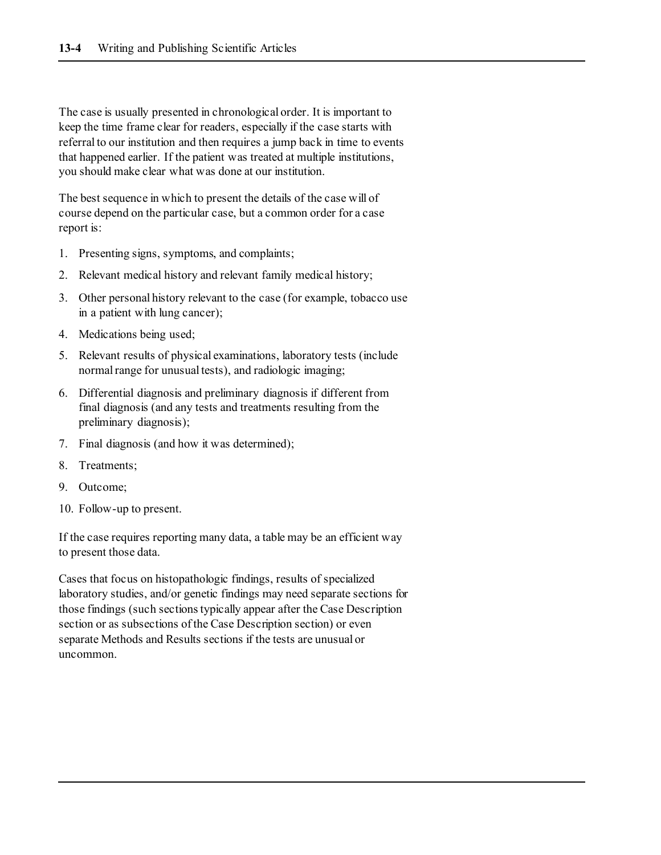The case is usually presented in chronological order. It is important to keep the time frame clear for readers, especially if the case starts with referral to our institution and then requires a jump back in time to events that happened earlier. If the patient was treated at multiple institutions, you should make clear what was done at our institution.

The best sequence in which to present the details of the case will of course depend on the particular case, but a common order for a case report is:

- 1. Presenting signs, symptoms, and complaints;
- 2. Relevant medical history and relevant family medical history;
- 3. Other personal history relevant to the case (for example, tobacco use in a patient with lung cancer);
- 4. Medications being used;
- 5. Relevant results of physical examinations, laboratory tests (include normal range for unusual tests), and radiologic imaging;
- 6. Differential diagnosis and preliminary diagnosis if different from final diagnosis (and any tests and treatments resulting from the preliminary diagnosis);
- 7. Final diagnosis (and how it was determined);
- 8. Treatments;
- 9. Outcome;
- 10. Follow-up to present.

If the case requires reporting many data, a table may be an efficient way to present those data.

Cases that focus on histopathologic findings, results of specialized laboratory studies, and/or genetic findings may need separate sections for those findings (such sections typically appear after the Case Description section or as subsections of the Case Description section) or even separate Methods and Results sections if the tests are unusual or uncommon.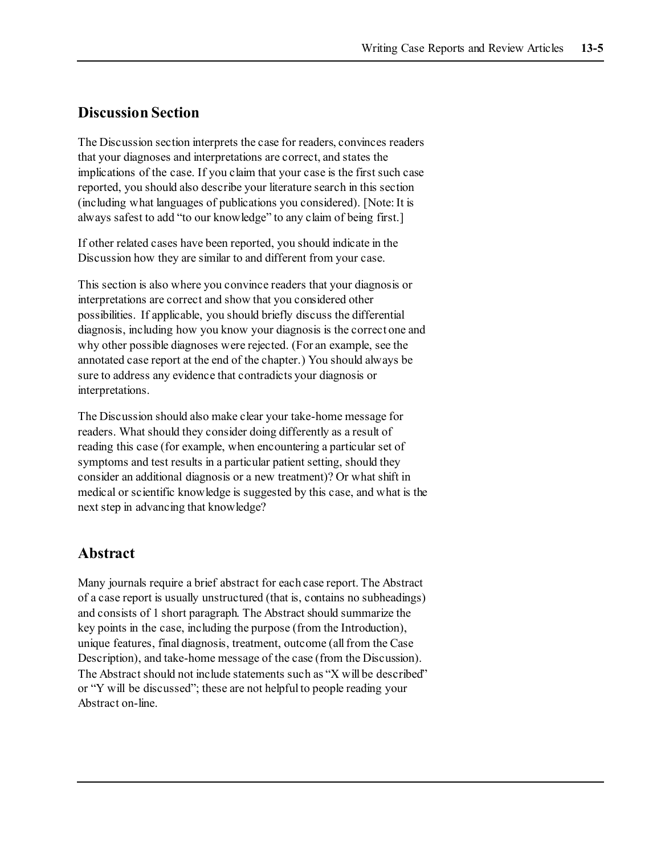#### **Discussion Section**

The Discussion section interprets the case for readers, convinces readers that your diagnoses and interpretations are correct, and states the implications of the case. If you claim that your case is the first such case reported, you should also describe your literature search in this section (including what languages of publications you considered). [Note: It is always safest to add "to our knowledge" to any claim of being first.]

If other related cases have been reported, you should indicate in the Discussion how they are similar to and different from your case.

This section is also where you convince readers that your diagnosis or interpretations are correct and show that you considered other possibilities. If applicable, you should briefly discuss the differential diagnosis, including how you know your diagnosis is the correct one and why other possible diagnoses were rejected. (For an example, see the annotated case report at the end of the chapter.) You should always be sure to address any evidence that contradicts your diagnosis or interpretations.

The Discussion should also make clear your take-home message for readers. What should they consider doing differently as a result of reading this case (for example, when encountering a particular set of symptoms and test results in a particular patient setting, should they consider an additional diagnosis or a new treatment)? Or what shift in medical or scientific knowledge is suggested by this case, and what is the next step in advancing that knowledge?

### **Abstract**

Many journals require a brief abstract for each case report. The Abstract of a case report is usually unstructured (that is, contains no subheadings) and consists of 1 short paragraph. The Abstract should summarize the key points in the case, including the purpose (from the Introduction), unique features, final diagnosis, treatment, outcome (all from the Case Description), and take-home message of the case (from the Discussion). The Abstract should not include statements such as "X will be described" or "Y will be discussed"; these are not helpful to people reading your Abstract on-line.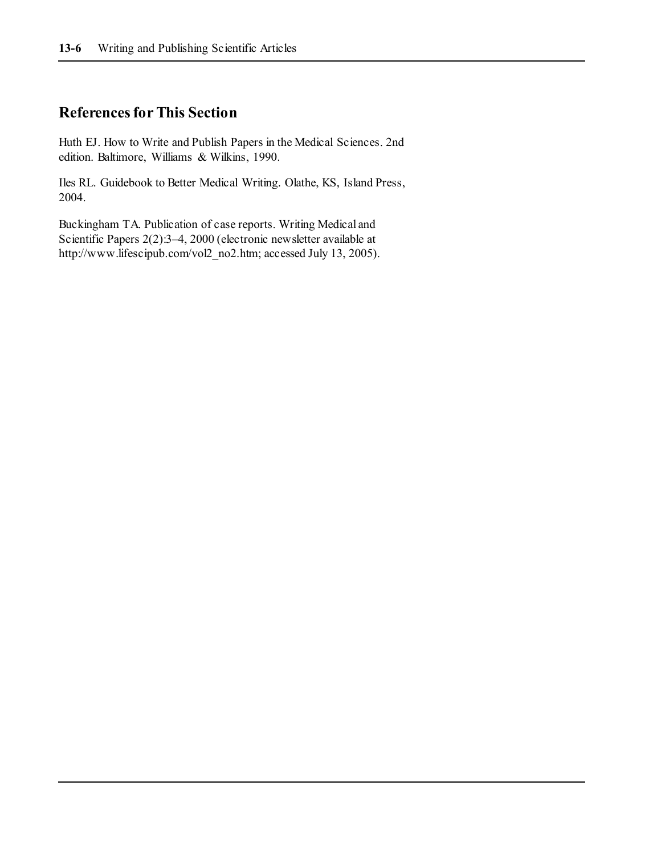### **References for This Section**

Huth EJ. How to Write and Publish Papers in the Medical Sciences. 2nd edition. Baltimore, Williams & Wilkins, 1990.

Iles RL. Guidebook to Better Medical Writing. Olathe, KS, Island Press, 2004.

Buckingham TA. Publication of case reports. Writing Medical and Scientific Papers 2(2):3–4, 2000 (electronic newsletter available at http://www.lifescipub.com/vol2\_no2.htm; accessed July 13, 2005).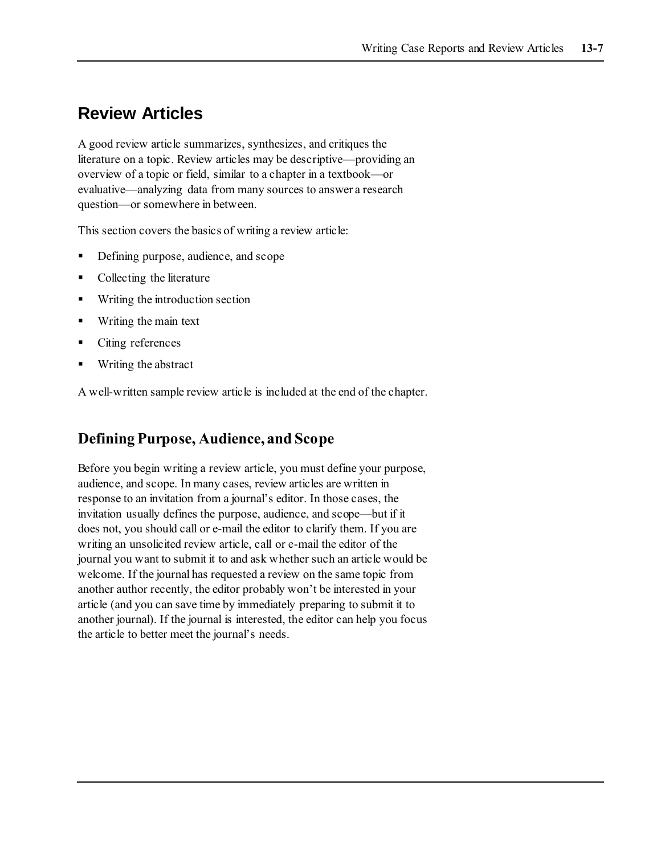# **Review Articles**

A good review article summarizes, synthesizes, and critiques the literature on a topic. Review articles may be descriptive—providing an overview of a topic or field, similar to a chapter in a textbook—or evaluative—analyzing data from many sources to answer a research question—or somewhere in between.

This section covers the basics of writing a review article:

- Defining purpose, audience, and scope
- Collecting the literature
- Writing the introduction section
- Writing the main text
- Citing references
- Writing the abstract

A well-written sample review article is included at the end of the chapter.

## **Defining Purpose, Audience, and Scope**

Before you begin writing a review article, you must define your purpose, audience, and scope. In many cases, review articles are written in response to an invitation from a journal's editor. In those cases, the invitation usually defines the purpose, audience, and scope—but if it does not, you should call or e-mail the editor to clarify them. If you are writing an unsolicited review article, call or e-mail the editor of the journal you want to submit it to and ask whether such an article would be welcome. If the journal has requested a review on the same topic from another author recently, the editor probably won't be interested in your article (and you can save time by immediately preparing to submit it to another journal). If the journal is interested, the editor can help you focus the article to better meet the journal's needs.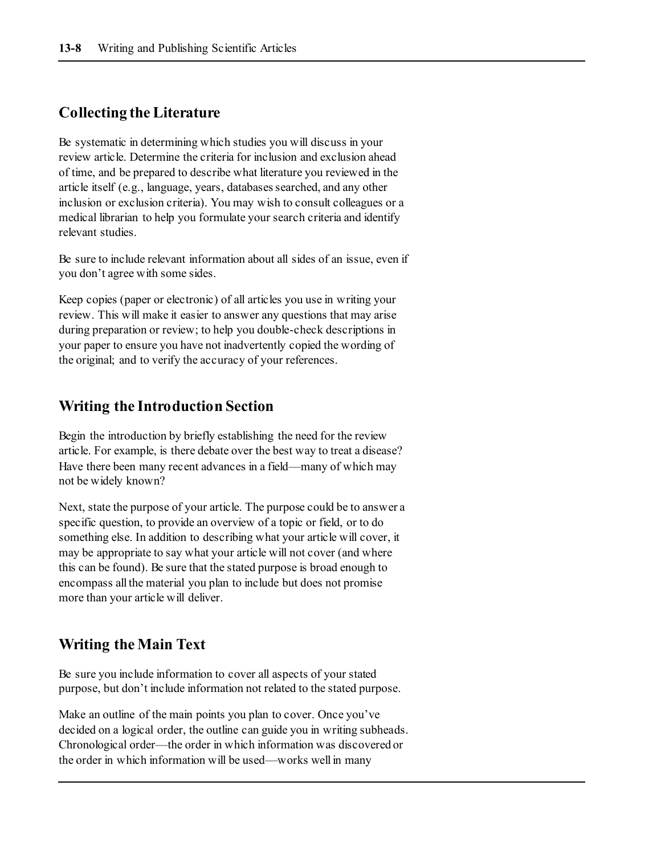#### **Collecting the Literature**

Be systematic in determining which studies you will discuss in your review article. Determine the criteria for inclusion and exclusion ahead of time, and be prepared to describe what literature you reviewed in the article itself (e.g., language, years, databases searched, and any other inclusion or exclusion criteria). You may wish to consult colleagues or a medical librarian to help you formulate your search criteria and identify relevant studies.

Be sure to include relevant information about all sides of an issue, even if you don't agree with some sides.

Keep copies (paper or electronic) of all articles you use in writing your review. This will make it easier to answer any questions that may arise during preparation or review; to help you double-check descriptions in your paper to ensure you have not inadvertently copied the wording of the original; and to verify the accuracy of your references.

#### **Writing the Introduction Section**

Begin the introduction by briefly establishing the need for the review article. For example, is there debate over the best way to treat a disease? Have there been many recent advances in a field—many of which may not be widely known?

Next, state the purpose of your article. The purpose could be to answer a specific question, to provide an overview of a topic or field, or to do something else. In addition to describing what your article will cover, it may be appropriate to say what your article will not cover (and where this can be found). Be sure that the stated purpose is broad enough to encompass all the material you plan to include but does not promise more than your article will deliver.

#### **Writing the Main Text**

Be sure you include information to cover all aspects of your stated purpose, but don't include information not related to the stated purpose.

Make an outline of the main points you plan to cover. Once you've decided on a logical order, the outline can guide you in writing subheads. Chronological order—the order in which information was discovered or the order in which information will be used—works well in many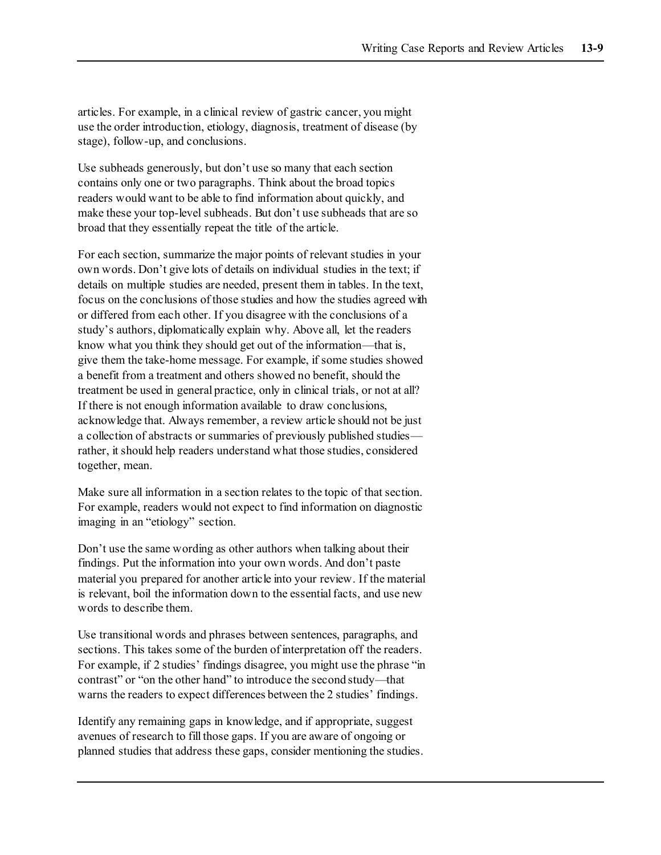articles. For example, in a clinical review of gastric cancer, you might use the order introduction, etiology, diagnosis, treatment of disease (by stage), follow-up, and conclusions.

Use subheads generously, but don't use so many that each section contains only one or two paragraphs. Think about the broad topics readers would want to be able to find information about quickly, and make these your top-level subheads. But don't use subheads that are so broad that they essentially repeat the title of the article.

For each section, summarize the major points of relevant studies in your own words. Don't give lots of details on individual studies in the text; if details on multiple studies are needed, present them in tables. In the text, focus on the conclusions of those studies and how the studies agreed with or differed from each other. If you disagree with the conclusions of a study's authors, diplomatically explain why. Above all, let the readers know what you think they should get out of the information—that is, give them the take-home message. For example, if some studies showed a benefit from a treatment and others showed no benefit, should the treatment be used in general practice, only in clinical trials, or not at all? If there is not enough information available to draw conclusions, acknowledge that. Always remember, a review article should not be just a collection of abstracts or summaries of previously published studies rather, it should help readers understand what those studies, considered together, mean.

Make sure all information in a section relates to the topic of that section. For example, readers would not expect to find information on diagnostic imaging in an "etiology" section.

Don't use the same wording as other authors when talking about their findings. Put the information into your own words. And don't paste material you prepared for another article into your review. If the material is relevant, boil the information down to the essential facts, and use new words to describe them.

Use transitional words and phrases between sentences, paragraphs, and sections. This takes some of the burden of interpretation off the readers. For example, if 2 studies' findings disagree, you might use the phrase "in contrast" or "on the other hand" to introduce the second study—that warns the readers to expect differences between the 2 studies' findings.

Identify any remaining gaps in knowledge, and if appropriate, suggest avenues of research to fill those gaps. If you are aware of ongoing or planned studies that address these gaps, consider mentioning the studies.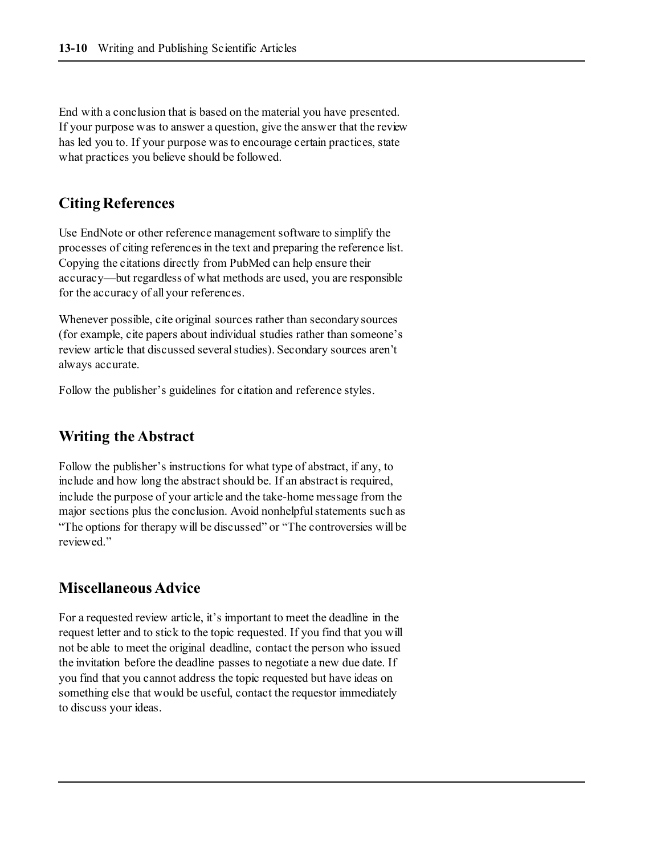End with a conclusion that is based on the material you have presented. If your purpose was to answer a question, give the answer that the review has led you to. If your purpose was to encourage certain practices, state what practices you believe should be followed.

## **Citing References**

Use EndNote or other reference management software to simplify the processes of citing references in the text and preparing the reference list. Copying the citations directly from PubMed can help ensure their accuracy—but regardless of what methods are used, you are responsible for the accuracy of all your references.

Whenever possible, cite original sources rather than secondary sources (for example, cite papers about individual studies rather than someone's review article that discussed several studies). Secondary sources aren't always accurate.

Follow the publisher's guidelines for citation and reference styles.

## **Writing the Abstract**

Follow the publisher's instructions for what type of abstract, if any, to include and how long the abstract should be. If an abstract is required, include the purpose of your article and the take-home message from the major sections plus the conclusion. Avoid nonhelpful statements such as "The options for therapy will be discussed" or "The controversies will be reviewed."

### **Miscellaneous Advice**

For a requested review article, it's important to meet the deadline in the request letter and to stick to the topic requested. If you find that you will not be able to meet the original deadline, contact the person who issued the invitation before the deadline passes to negotiate a new due date. If you find that you cannot address the topic requested but have ideas on something else that would be useful, contact the requestor immediately to discuss your ideas.